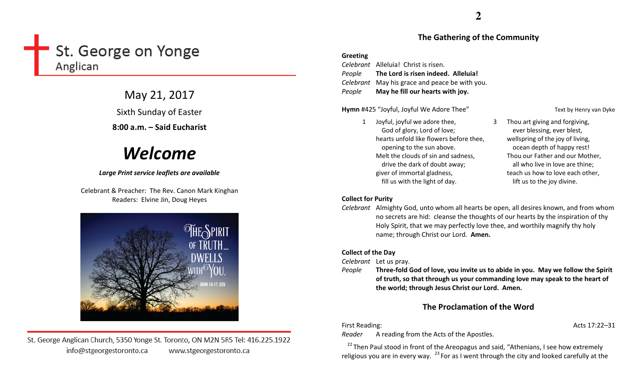# St. George on Yonge Anglican

May 21, 2017 Sixth Sunday of Easter

8:00 a.m. – Said Eucharist

# Welcome

#### Large Print service leaflets are available

Celebrant & Preacher: The Rev. Canon Mark Kinghan Readers: Elvine Jin, Doug Heyes



St. George Anglican Church, 5350 Yonge St. Toronto, ON M2N 5R5 Tel: 416.225.1922 info@stgeorgestoronto.ca www.stgeorgestoronto.ca

#### The Gathering of the Community

#### Greeting

Celebrant Alleluia! Christ is risen. People The Lord is risen indeed. Alleluia! Celebrant May his grace and peace be with you. PeopleMay he fill our hearts with joy.

Hymn #425 "Joyful, Joyful We Adore Thee" Text by Henry van Dyke

1 Joyful, joyful we adore thee, God of glory, Lord of love; hearts unfold like flowers before thee, opening to the sun above. Melt the clouds of sin and sadness, drive the dark of doubt away; giver of immortal gladness, fill us with the light of day.

3 Thou art giving and forgiving, ever blessing, ever blest, wellspring of the joy of living, ocean depth of happy rest! Thou our Father and our Mother, all who live in love are thine; teach us how to love each other, lift us to the joy divine.

#### Collect for Purity

Celebrant Almighty God, unto whom all hearts be open, all desires known, and from whom no secrets are hid: cleanse the thoughts of our hearts by the inspiration of thy Holy Spirit, that we may perfectly love thee, and worthily magnify thy holy name; through Christ our Lord. Amen.

#### Collect of the Day

Celebrant Let us pray.

 $e$  Three-fold God of love, you invite us to abide in you. May we follow the Spirit Peopleof truth, so that through us your commanding love may speak to the heart of the world; through Jesus Christ our Lord. Amen.

## The Proclamation of the Word

First Reading: Acts 17:22–31

Reader A reading from the Acts of the Apostles.

 $22$  Then Paul stood in front of the Areopagus and said, "Athenians, I see how extremely religious you are in every way.  $^{23}$  For as I went through the city and looked carefully at the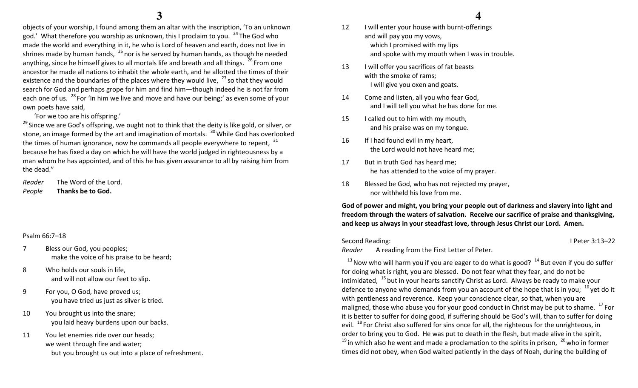objects of your worship, I found among them an altar with the inscription, 'To an unknown god.' What therefore you worship as unknown, this I proclaim to you.  $^{24}$  The God who made the world and everything in it, he who is Lord of heaven and earth, does not live in shrines made by human hands,  $^{25}$ nor is he served by human hands, as though he needed anything, since he himself gives to all mortals life and breath and all things.  $^{26}$  From one ancestor he made all nations to inhabit the whole earth, and he allotted the times of their existence and the boundaries of the places where they would live,  $27$  so that they would search for God and perhaps grope for him and find him—though indeed he is not far from each one of us. <sup>28</sup> For 'In him we live and move and have our being;' as even some of your own poets have said,

#### 'For we too are his offspring.'

 $^{29}$  Since we are God's offspring, we ought not to think that the deity is like gold, or silver, or stone, an image formed by the art and imagination of mortals.  $^{30}$  While God has overlooked the times of human ignorance, now he commands all people everywhere to repent,  $31$ because he has fixed a day on which he will have the world judged in righteousness by a man whom he has appointed, and of this he has given assurance to all by raising him from the dead."

Reader The Word of the Lord. PeopleThanks be to God.

#### Psalm 66:7–18

- 7 Bless our God, you peoples; make the voice of his praise to be heard;
- 8 Who holds our souls in life, and will not allow our feet to slip.
- 9 For you, O God, have proved us; you have tried us just as silver is tried.
- 10 You brought us into the snare; you laid heavy burdens upon our backs.
- 11 You let enemies ride over our heads; we went through fire and water; but you brought us out into a place of refreshment.

### **4**

- 12 I will enter your house with burnt-offerings and will pay you my vows, which I promised with my lips and spoke with my mouth when I was in trouble.
- 13 I will offer you sacrifices of fat beasts with the smoke of rams; I will give you oxen and goats.
- 14 Come and listen, all you who fear God, and I will tell you what he has done for me.
- 15 I called out to him with my mouth, and his praise was on my tongue.
- 16 If I had found evil in my heart, the Lord would not have heard me;
- 17 But in truth God has heard me; he has attended to the voice of my prayer.
- 18 Blessed be God, who has not rejected my prayer, nor withheld his love from me.

God of power and might, you bring your people out of darkness and slavery into light and freedom through the waters of salvation. Receive our sacrifice of praise and thanksgiving, and keep us always in your steadfast love, through Jesus Christ our Lord. Amen.

Second Reading: I Peter 3:13–22 Reader A reading from the First Letter of Peter.

 $13$  Now who will harm you if you are eager to do what is good?  $14$  But even if you do suffer for doing what is right, you are blessed. Do not fear what they fear, and do not be intimidated,  $^{15}$  but in your hearts sanctify Christ as Lord. Always be ready to make your defence to anyone who demands from you an account of the hope that is in you;  $16$  yet do it with gentleness and reverence. Keep your conscience clear, so that, when you are maligned, those who abuse you for your good conduct in Christ may be put to shame.  $^{17}$  For it is better to suffer for doing good, if suffering should be God's will, than to suffer for doing evil. <sup>18</sup> For Christ also suffered for sins once for all, the righteous for the unrighteous, in order to bring you to God. He was put to death in the flesh, but made alive in the spirit,  $^{19}$  in which also he went and made a proclamation to the spirits in prison,  $^{20}$  who in former times did not obey, when God waited patiently in the days of Noah, during the building of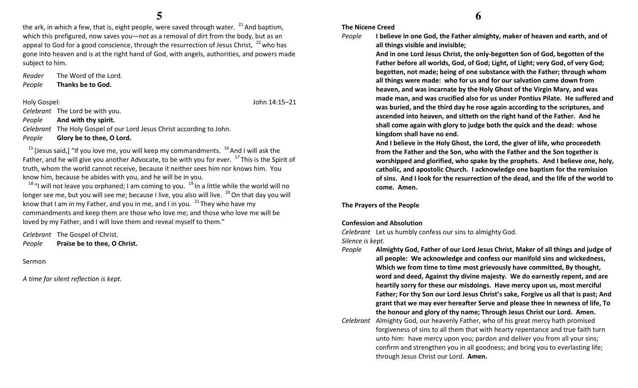the ark, in which a few, that is, eight people, were saved through water.  $^{21}$  And baptism, which this prefigured, now saves you—not as a removal of dirt from the body, but as an appeal to God for a good conscience, through the resurrection of Jesus Christ,  $22$  who has gone into heaven and is at the right hand of God, with angels, authorities, and powers made subject to him.

Reader The Word of the Lord. PeopleThanks be to God.

Holy Gospel: John 14:15–21

Celebrant The Lord be with you.

PeopleAnd with thy spirit.

Celebrant The Holy Gospel of our Lord Jesus Christ according to John.

PeopleGlory be to thee, O Lord.

 $15$  [Jesus said,] "If you love me, you will keep my commandments.  $16$  And I will ask the Father, and he will give you another Advocate, to be with you for ever.  $^{17}$  This is the Spirit of truth, whom the world cannot receive, because it neither sees him nor knows him. You know him, because he abides with you, and he will be in you.

 $^{18}$  "I will not leave you orphaned; I am coming to you.  $^{19}$  In a little while the world will no longer see me, but you will see me; because I live, you also will live.  $^{20}$  On that day you will know that I am in my Father, and you in me, and I in you.  $21$  They who have my commandments and keep them are those who love me; and those who love me will be loved by my Father, and I will love them and reveal myself to them."

Celebrant The Gospel of Christ. PeoplePraise be to thee, O Christ.

Sermon

A time for silent reflection is kept.

#### The Nicene Creed

```
People
```
all things visible and invisible; And in one Lord Jesus Christ, the only-begotten Son of God, begotten of the Father before all worlds, God, of God; Light, of Light; very God, of very God; begotten, not made; being of one substance with the Father; through whom all things were made: who for us and for our salvation came down from heaven, and was incarnate by the Holy Ghost of the Virgin Mary, and was made man, and was crucified also for us under Pontius Pilate. He suffered and was buried, and the third day he rose again according to the scriptures, and ascended into heaven, and sitteth on the right hand of the Father. And he shall come again with glory to judge both the quick and the dead: whose kingdom shall have no end.

And I believe in the Holy Ghost, the Lord, the giver of life, who proceedeth from the Father and the Son, who with the Father and the Son together is worshipped and glorified, who spake by the prophets. And I believe one, holy, catholic, and apostolic Church. I acknowledge one baptism for the remission of sins. And I look for the resurrection of the dead, and the life of the world to come. Amen.

The Prayers of the People

#### Confession and Absolution

Celebrant Let us humbly confess our sins to almighty God.

Silence is kept.

- People Almighty God, Father of our Lord Jesus Christ, Maker of all things and judge of all people: We acknowledge and confess our manifold sins and wickedness, Which we from time to time most grievously have committed, By thought, word and deed, Against thy divine majesty. We do earnestly repent, and are heartily sorry for these our misdoings. Have mercy upon us, most merciful Father; For thy Son our Lord Jesus Christ's sake, Forgive us all that is past; And grant that we may ever hereafter Serve and please thee In newness of life, To the honour and glory of thy name; Through Jesus Christ our Lord. Amen.
- Celebrant Almighty God, our heavenly Father, who of his great mercy hath promised forgiveness of sins to all them that with hearty repentance and true faith turn unto him: have mercy upon you; pardon and deliver you from all your sins; confirm and strengthen you in all goodness; and bring you to everlasting life; through Jesus Christ our Lord. Amen.

I believe in one God, the Father almighty, maker of heaven and earth, and of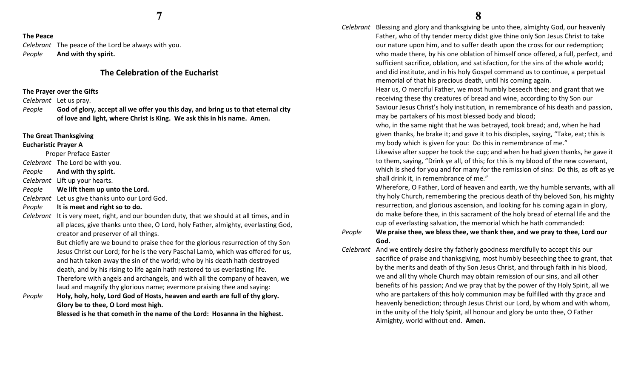#### The Peace

Celebrant The peace of the Lord be always with you. PeopleAnd with thy spirit.

### The Celebration of the Eucharist

#### The Prayer over the Gifts

Celebrant Let us pray.

People God of glory, accept all we offer you this day, and bring us to that eternal city of love and light, where Christ is King. We ask this in his name. Amen.

#### The Great Thanksgiving

#### Eucharistic Prayer A

Proper Preface Easter

Celebrant The Lord be with you.

PeopleAnd with thy spirit.

Celebrant Lift up your hearts.

- PeopleWe lift them up unto the Lord.
- Celebrant Let us give thanks unto our Lord God.

#### PeopleIt is meet and right so to do.

Celebrant It is very meet, right, and our bounden duty, that we should at all times, and in all places, give thanks unto thee, O Lord, holy Father, almighty, everlasting God, creator and preserver of all things.

> But chiefly are we bound to praise thee for the glorious resurrection of thy Son Jesus Christ our Lord; for he is the very Paschal Lamb, which was offered for us, and hath taken away the sin of the world; who by his death hath destroyed death, and by his rising to life again hath restored to us everlasting life. Therefore with angels and archangels, and with all the company of heaven, we laud and magnify thy glorious name; evermore praising thee and saying:

People Holy, holy, holy, Lord God of Hosts, heaven and earth are full of thy glory. Glory be to thee, O Lord most high.

Blessed is he that cometh in the name of the Lord: Hosanna in the highest.

Celebrant Blessing and glory and thanksgiving be unto thee, almighty God, our heavenly Father, who of thy tender mercy didst give thine only Son Jesus Christ to take our nature upon him, and to suffer death upon the cross for our redemption; who made there, by his one oblation of himself once offered, a full, perfect, and sufficient sacrifice, oblation, and satisfaction, for the sins of the whole world; and did institute, and in his holy Gospel command us to continue, a perpetual memorial of that his precious death, until his coming again.

> Hear us, O merciful Father, we most humbly beseech thee; and grant that we receiving these thy creatures of bread and wine, according to thy Son our Saviour Jesus Christ's holy institution, in remembrance of his death and passion, may be partakers of his most blessed body and blood;

who, in the same night that he was betrayed, took bread; and, when he had given thanks, he brake it; and gave it to his disciples, saying, "Take, eat; this is my body which is given for you: Do this in remembrance of me."

Likewise after supper he took the cup; and when he had given thanks, he gave it to them, saying, "Drink ye all, of this; for this is my blood of the new covenant, which is shed for you and for many for the remission of sins: Do this, as oft as ye shall drink it, in remembrance of me."

Wherefore, O Father, Lord of heaven and earth, we thy humble servants, with all thy holy Church, remembering the precious death of thy beloved Son, his mighty resurrection, and glorious ascension, and looking for his coming again in glory, do make before thee, in this sacrament of the holy bread of eternal life and the cup of everlasting salvation, the memorial which he hath commanded:

#### People We praise thee, we bless thee, we thank thee, and we pray to thee, Lord our God.

Celebrant And we entirely desire thy fatherly goodness mercifully to accept this our sacrifice of praise and thanksgiving, most humbly beseeching thee to grant, that by the merits and death of thy Son Jesus Christ, and through faith in his blood, we and all thy whole Church may obtain remission of our sins, and all other benefits of his passion; And we pray that by the power of thy Holy Spirit, all we who are partakers of this holy communion may be fulfilled with thy grace and heavenly benediction; through Jesus Christ our Lord, by whom and with whom, in the unity of the Holy Spirit, all honour and glory be unto thee, O Father Almighty, world without end. Amen.